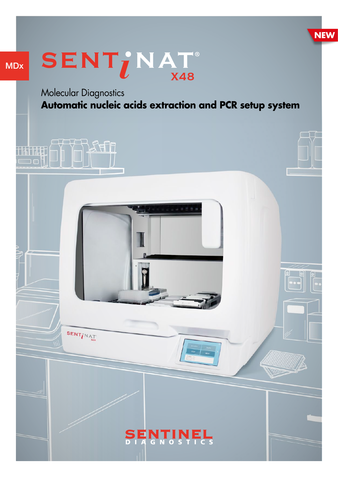

# MDx



Molecular Diagnostics **Automatic nucleic acids extraction and PCR setup system**

# **TIAN MAAL**  $\Box$ n



SENT IN AT